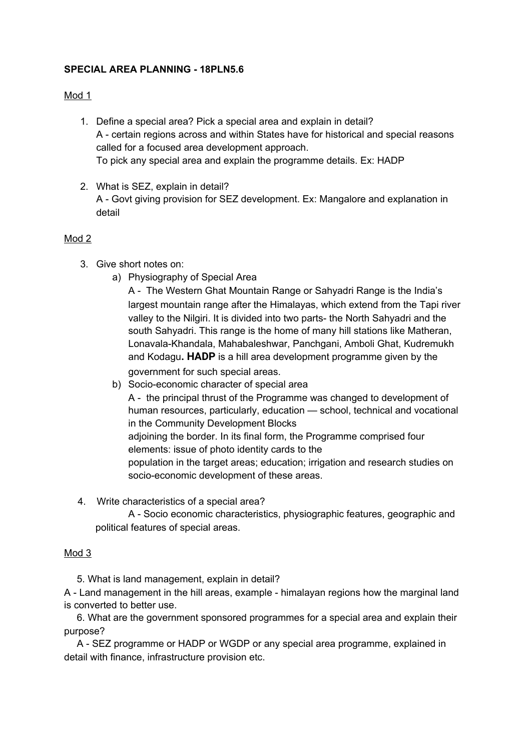# **SPECIAL AREA PLANNING - 18PLN5.6**

#### Mod 1

- 1. Define a special area? Pick a special area and explain in detail? A - certain regions across and within States have for historical and special reasons called for a focused area development approach. To pick any special area and explain the programme details. Ex: HADP
- 2. What is SEZ, explain in detail? A - Govt giving provision for SEZ development. Ex: Mangalore and explanation in detail

#### Mod 2

- 3. Give short notes on:
	- a) Physiography of Special Area

A - The Western Ghat [Mountain](http://www.jagranjosh.com/general-knowledge/the-western-ghats-mountain-range-1448367447-1) Range or Sahyadri Range is the India's largest mountain range after the Himalayas, which extend from the Tapi river valley to the Nilgiri. It is divided into two parts- the North Sahyadri and the south Sahyadri. This range is the home of many hill stations like Matheran, Lonavala-Khandala, Mahabaleshwar, Panchgani, Amboli Ghat, Kudremukh and Kodagu**. HADP** is a hill area development programme given by the government for such special areas.

b) Socio-economic character of special area

A - the principal thrust of the Programme was changed to development of human resources, particularly, education — school, technical and vocational in the Community Development Blocks adjoining the border. In its final form, the Programme comprised four elements: issue of photo identity cards to the population in the target areas; education; irrigation and research studies on socio-economic development of these areas.

4. Write characteristics of a special area? A - Socio economic characteristics, physiographic features, geographic and political features of special areas.

# Mod 3

5. What is land management, explain in detail?

A - Land management in the hill areas, example - himalayan regions how the marginal land is converted to better use.

6. What are the government sponsored programmes for a special area and explain their purpose?

A - SEZ programme or HADP or WGDP or any special area programme, explained in detail with finance, infrastructure provision etc.